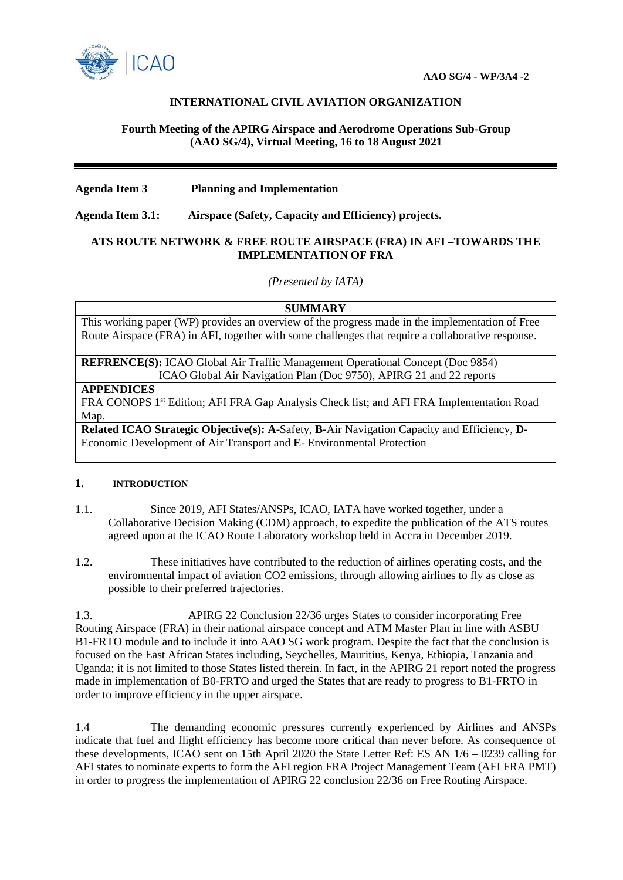

# **INTERNATIONAL CIVIL AVIATION ORGANIZATION**

## **Fourth Meeting of the APIRG Airspace and Aerodrome Operations Sub-Group (AAO SG/4), Virtual Meeting, 16 to 18 August 2021**

## **Agenda Item 3 Planning and Implementation**

**Agenda Item 3.1: Airspace (Safety, Capacity and Efficiency) projects.**

### **ATS ROUTE NETWORK & FREE ROUTE AIRSPACE (FRA) IN AFI –TOWARDS THE IMPLEMENTATION OF FRA**

*(Presented by IATA)*

#### **SUMMARY**

This working paper (WP) provides an overview of the progress made in the implementation of Free Route Airspace (FRA) in AFI, together with some challenges that require a collaborative response.

**REFRENCE(S):** ICAO Global Air Traffic Management Operational Concept (Doc 9854) ICAO Global Air Navigation Plan (Doc 9750), APIRG 21 and 22 reports

#### **APPENDICES**

FRA CONOPS 1<sup>st</sup> Edition; AFI FRA Gap Analysis Check list; and AFI FRA Implementation Road Map.

**Related ICAO Strategic Objective(s): A**-Safety, **B-**Air Navigation Capacity and Efficiency, **D**-Economic Development of Air Transport and **E**- Environmental Protection

### **1. INTRODUCTION**

- 1.1. Since 2019, AFI States/ANSPs, ICAO, IATA have worked together, under a Collaborative Decision Making (CDM) approach, to expedite the publication of the ATS routes agreed upon at the ICAO Route Laboratory workshop held in Accra in December 2019.
- 1.2. These initiatives have contributed to the reduction of airlines operating costs, and the environmental impact of aviation CO2 emissions, through allowing airlines to fly as close as possible to their preferred trajectories.

1.3. APIRG 22 Conclusion 22/36 urges States to consider incorporating Free Routing Airspace (FRA) in their national airspace concept and ATM Master Plan in line with ASBU B1-FRTO module and to include it into AAO SG work program. Despite the fact that the conclusion is focused on the East African States including, Seychelles, Mauritius, Kenya, Ethiopia, Tanzania and Uganda; it is not limited to those States listed therein. In fact, in the APIRG 21 report noted the progress made in implementation of B0-FRTO and urged the States that are ready to progress to B1-FRTO in order to improve efficiency in the upper airspace.

1.4 The demanding economic pressures currently experienced by Airlines and ANSPs indicate that fuel and flight efficiency has become more critical than never before. As consequence of these developments, ICAO sent on 15th April 2020 the State Letter Ref: ES AN 1/6 – 0239 calling for AFI states to nominate experts to form the AFI region FRA Project Management Team (AFI FRA PMT) in order to progress the implementation of APIRG 22 conclusion 22/36 on Free Routing Airspace.